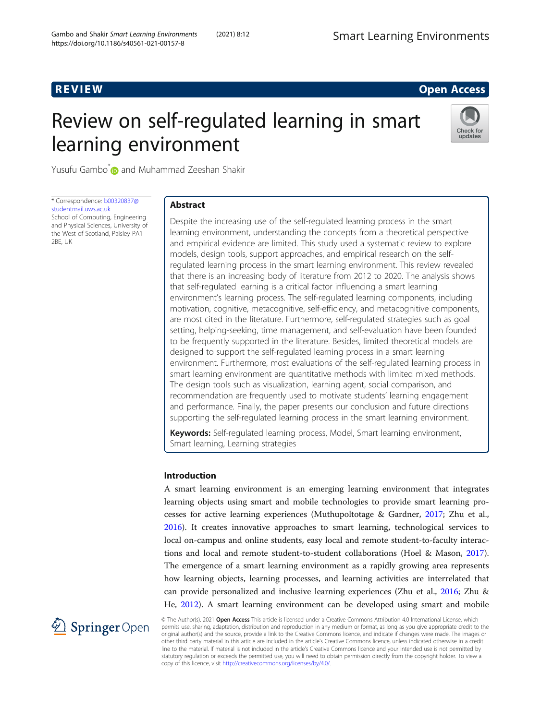## **REVIEW CONSTRUCTION CONSTRUCTION CONSTRUCTS**

# Review on self-regulated learning in smart learning environment



Yusufu Gambo\* and Muhammad Zeeshan Shakir

\* Correspondence: [b00320837@](mailto:b00320837@studentmail.uws.ac.uk) [studentmail.uws.ac.uk](mailto:b00320837@studentmail.uws.ac.uk) School of Computing, Engineering and Physical Sciences, University of

the West of Scotland, Paisley PA1

2BE, UK

# Abstract

Despite the increasing use of the self-regulated learning process in the smart learning environment, understanding the concepts from a theoretical perspective and empirical evidence are limited. This study used a systematic review to explore models, design tools, support approaches, and empirical research on the selfregulated learning process in the smart learning environment. This review revealed that there is an increasing body of literature from 2012 to 2020. The analysis shows that self-regulated learning is a critical factor influencing a smart learning environment's learning process. The self-regulated learning components, including motivation, cognitive, metacognitive, self-efficiency, and metacognitive components, are most cited in the literature. Furthermore, self-regulated strategies such as goal setting, helping-seeking, time management, and self-evaluation have been founded to be frequently supported in the literature. Besides, limited theoretical models are designed to support the self-regulated learning process in a smart learning environment. Furthermore, most evaluations of the self-regulated learning process in smart learning environment are quantitative methods with limited mixed methods. The design tools such as visualization, learning agent, social comparison, and recommendation are frequently used to motivate students' learning engagement and performance. Finally, the paper presents our conclusion and future directions supporting the self-regulated learning process in the smart learning environment.

Keywords: Self-regulated learning process, Model, Smart learning environment, Smart learning, Learning strategies

#### Introduction

A smart learning environment is an emerging learning environment that integrates learning objects using smart and mobile technologies to provide smart learning processes for active learning experiences (Muthupoltotage & Gardner, [2017;](#page-12-0) Zhu et al., [2016](#page-13-0)). It creates innovative approaches to smart learning, technological services to local on-campus and online students, easy local and remote student-to-faculty interactions and local and remote student-to-student collaborations (Hoel & Mason, [2017](#page-12-0)). The emergence of a smart learning environment as a rapidly growing area represents how learning objects, learning processes, and learning activities are interrelated that can provide personalized and inclusive learning experiences (Zhu et al., [2016;](#page-13-0) Zhu & He, [2012\)](#page-13-0). A smart learning environment can be developed using smart and mobile



© The Author(s). 2021 Open Access This article is licensed under a Creative Commons Attribution 4.0 International License, which permits use, sharing, adaptation, distribution and reproduction in any medium or format, as long as you give appropriate credit to the original author(s) and the source, provide a link to the Creative Commons licence, and indicate if changes were made. The images or other third party material in this article are included in the article's Creative Commons licence, unless indicated otherwise in a credit line to the material. If material is not included in the article's Creative Commons licence and your intended use is not permitted by statutory regulation or exceeds the permitted use, you will need to obtain permission directly from the copyright holder. To view a copy of this licence, visit <http://creativecommons.org/licenses/by/4.0/>.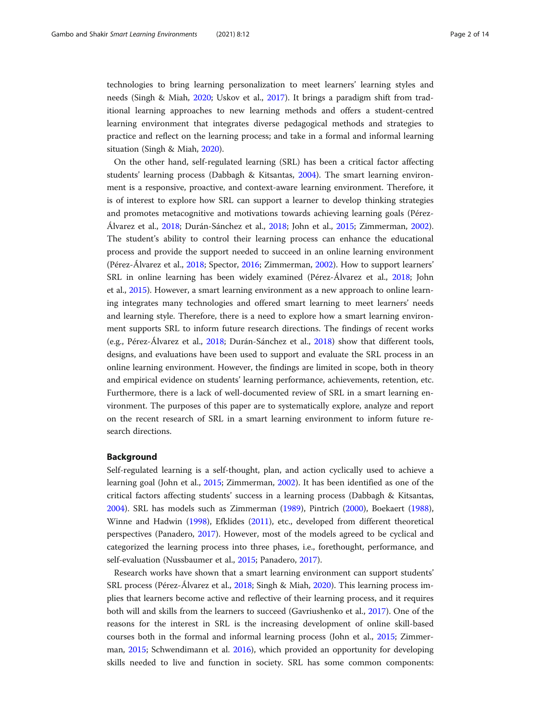technologies to bring learning personalization to meet learners' learning styles and needs (Singh & Miah, [2020](#page-12-0); Uskov et al., [2017\)](#page-13-0). It brings a paradigm shift from traditional learning approaches to new learning methods and offers a student-centred learning environment that integrates diverse pedagogical methods and strategies to practice and reflect on the learning process; and take in a formal and informal learning situation (Singh & Miah, [2020](#page-12-0)).

On the other hand, self-regulated learning (SRL) has been a critical factor affecting students' learning process (Dabbagh & Kitsantas, [2004](#page-12-0)). The smart learning environment is a responsive, proactive, and context-aware learning environment. Therefore, it is of interest to explore how SRL can support a learner to develop thinking strategies and promotes metacognitive and motivations towards achieving learning goals (Pérez-Álvarez et al., [2018;](#page-12-0) Durán-Sánchez et al., [2018;](#page-12-0) John et al., [2015;](#page-12-0) Zimmerman, [2002](#page-13-0)). The student's ability to control their learning process can enhance the educational process and provide the support needed to succeed in an online learning environment (Pérez-Álvarez et al., [2018;](#page-12-0) Spector, [2016;](#page-12-0) Zimmerman, [2002\)](#page-13-0). How to support learners' SRL in online learning has been widely examined (Pérez-Álvarez et al., [2018;](#page-12-0) John et al., [2015\)](#page-12-0). However, a smart learning environment as a new approach to online learning integrates many technologies and offered smart learning to meet learners' needs and learning style. Therefore, there is a need to explore how a smart learning environment supports SRL to inform future research directions. The findings of recent works (e.g., Pérez-Álvarez et al., [2018;](#page-12-0) Durán-Sánchez et al., [2018\)](#page-12-0) show that different tools, designs, and evaluations have been used to support and evaluate the SRL process in an online learning environment. However, the findings are limited in scope, both in theory and empirical evidence on students' learning performance, achievements, retention, etc. Furthermore, there is a lack of well-documented review of SRL in a smart learning environment. The purposes of this paper are to systematically explore, analyze and report on the recent research of SRL in a smart learning environment to inform future research directions.

#### Background

Self-regulated learning is a self-thought, plan, and action cyclically used to achieve a learning goal (John et al., [2015;](#page-12-0) Zimmerman, [2002](#page-13-0)). It has been identified as one of the critical factors affecting students' success in a learning process (Dabbagh & Kitsantas, [2004](#page-12-0)). SRL has models such as Zimmerman ([1989](#page-13-0)), Pintrich ([2000](#page-12-0)), Boekaert ([1988](#page-11-0)), Winne and Hadwin [\(1998\)](#page-13-0), Efklides ([2011](#page-12-0)), etc., developed from different theoretical perspectives (Panadero, [2017\)](#page-12-0). However, most of the models agreed to be cyclical and categorized the learning process into three phases, i.e., forethought, performance, and self-evaluation (Nussbaumer et al., [2015](#page-12-0); Panadero, [2017](#page-12-0)).

Research works have shown that a smart learning environment can support students' SRL process (Pérez-Álvarez et al., [2018](#page-12-0); Singh & Miah, [2020\)](#page-12-0). This learning process implies that learners become active and reflective of their learning process, and it requires both will and skills from the learners to succeed (Gavriushenko et al., [2017](#page-12-0)). One of the reasons for the interest in SRL is the increasing development of online skill-based courses both in the formal and informal learning process (John et al., [2015;](#page-12-0) Zimmerman, [2015](#page-13-0); Schwendimann et al. [2016](#page-12-0)), which provided an opportunity for developing skills needed to live and function in society. SRL has some common components: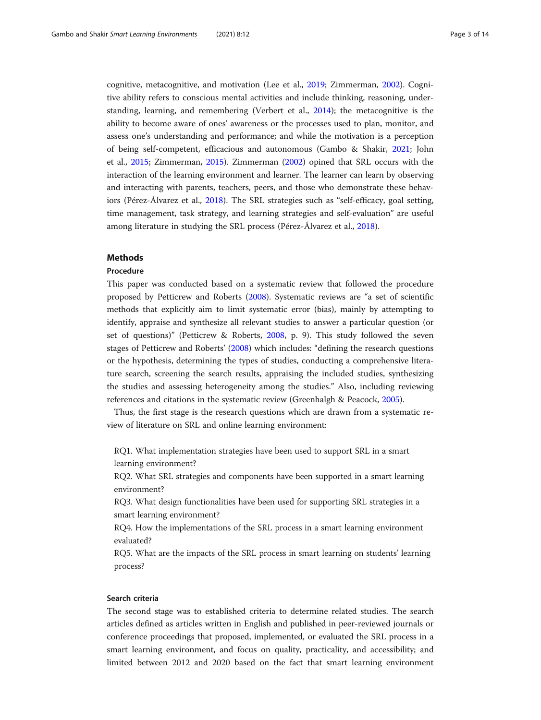cognitive, metacognitive, and motivation (Lee et al., [2019;](#page-12-0) Zimmerman, [2002](#page-13-0)). Cognitive ability refers to conscious mental activities and include thinking, reasoning, understanding, learning, and remembering (Verbert et al., [2014\)](#page-13-0); the metacognitive is the ability to become aware of ones' awareness or the processes used to plan, monitor, and assess one's understanding and performance; and while the motivation is a perception of being self-competent, efficacious and autonomous (Gambo & Shakir, [2021;](#page-12-0) John et al., [2015;](#page-12-0) Zimmerman, [2015\)](#page-13-0). Zimmerman ([2002](#page-13-0)) opined that SRL occurs with the interaction of the learning environment and learner. The learner can learn by observing and interacting with parents, teachers, peers, and those who demonstrate these behaviors (Pérez-Álvarez et al., [2018\)](#page-12-0). The SRL strategies such as "self-efficacy, goal setting, time management, task strategy, and learning strategies and self-evaluation" are useful among literature in studying the SRL process (Pérez-Álvarez et al., [2018\)](#page-12-0).

#### Methods

#### Procedure

This paper was conducted based on a systematic review that followed the procedure proposed by Petticrew and Roberts ([2008](#page-12-0)). Systematic reviews are "a set of scientific methods that explicitly aim to limit systematic error (bias), mainly by attempting to identify, appraise and synthesize all relevant studies to answer a particular question (or set of questions)" (Petticrew & Roberts, [2008](#page-12-0), p. 9). This study followed the seven stages of Petticrew and Roberts' [\(2008\)](#page-12-0) which includes: "defining the research questions or the hypothesis, determining the types of studies, conducting a comprehensive literature search, screening the search results, appraising the included studies, synthesizing the studies and assessing heterogeneity among the studies." Also, including reviewing references and citations in the systematic review (Greenhalgh & Peacock, [2005](#page-12-0)).

Thus, the first stage is the research questions which are drawn from a systematic review of literature on SRL and online learning environment:

RQ1. What implementation strategies have been used to support SRL in a smart learning environment?

RQ2. What SRL strategies and components have been supported in a smart learning environment?

RQ3. What design functionalities have been used for supporting SRL strategies in a smart learning environment?

RQ4. How the implementations of the SRL process in a smart learning environment evaluated?

RQ5. What are the impacts of the SRL process in smart learning on students' learning process?

#### Search criteria

The second stage was to established criteria to determine related studies. The search articles defined as articles written in English and published in peer-reviewed journals or conference proceedings that proposed, implemented, or evaluated the SRL process in a smart learning environment, and focus on quality, practicality, and accessibility; and limited between 2012 and 2020 based on the fact that smart learning environment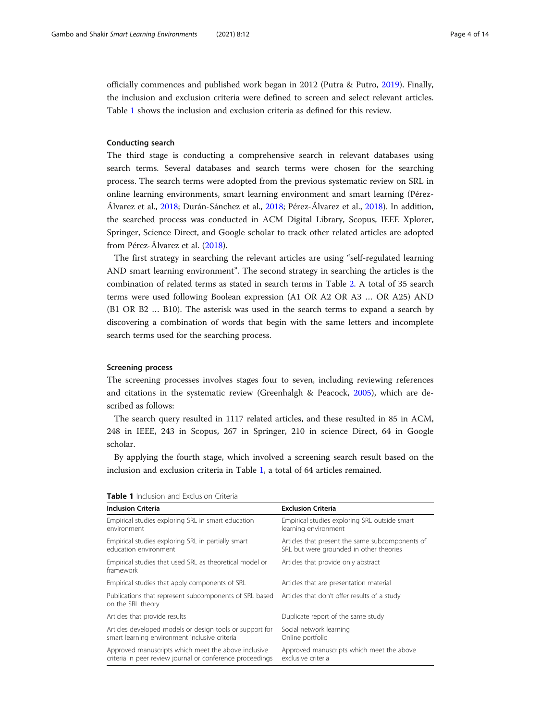officially commences and published work began in 2012 (Putra & Putro, [2019\)](#page-12-0). Finally, the inclusion and exclusion criteria were defined to screen and select relevant articles. Table 1 shows the inclusion and exclusion criteria as defined for this review.

#### Conducting search

The third stage is conducting a comprehensive search in relevant databases using search terms. Several databases and search terms were chosen for the searching process. The search terms were adopted from the previous systematic review on SRL in online learning environments, smart learning environment and smart learning (Pérez-Álvarez et al., [2018](#page-12-0); Durán-Sánchez et al., [2018;](#page-12-0) Pérez-Álvarez et al., [2018\)](#page-12-0). In addition, the searched process was conducted in ACM Digital Library, Scopus, IEEE Xplorer, Springer, Science Direct, and Google scholar to track other related articles are adopted from Pérez-Álvarez et al. ([2018](#page-12-0)).

The first strategy in searching the relevant articles are using "self-regulated learning AND smart learning environment". The second strategy in searching the articles is the combination of related terms as stated in search terms in Table [2.](#page-4-0) A total of 35 search terms were used following Boolean expression (A1 OR A2 OR A3 … OR A25) AND (B1 OR B2 … B10). The asterisk was used in the search terms to expand a search by discovering a combination of words that begin with the same letters and incomplete search terms used for the searching process.

#### Screening process

The screening processes involves stages four to seven, including reviewing references and citations in the systematic review (Greenhalgh & Peacock, [2005\)](#page-12-0), which are described as follows:

The search query resulted in 1117 related articles, and these resulted in 85 in ACM, 248 in IEEE, 243 in Scopus, 267 in Springer, 210 in science Direct, 64 in Google scholar.

By applying the fourth stage, which involved a screening search result based on the inclusion and exclusion criteria in Table 1, a total of 64 articles remained.

| <b>Inclusion Criteria</b>                                                                                        | <b>Exclusion Criteria</b>                                                                  |
|------------------------------------------------------------------------------------------------------------------|--------------------------------------------------------------------------------------------|
| Empirical studies exploring SRL in smart education<br>environment                                                | Empirical studies exploring SRL outside smart<br>learning environment                      |
| Empirical studies exploring SRL in partially smart<br>education environment                                      | Articles that present the same subcomponents of<br>SRL but were grounded in other theories |
| Empirical studies that used SRL as theoretical model or<br>framework                                             | Articles that provide only abstract                                                        |
| Empirical studies that apply components of SRL                                                                   | Articles that are presentation material                                                    |
| Publications that represent subcomponents of SRL based<br>on the SRL theory                                      | Articles that don't offer results of a study                                               |
| Articles that provide results                                                                                    | Duplicate report of the same study                                                         |
| Articles developed models or design tools or support for<br>smart learning environment inclusive criteria        | Social network learning<br>Online portfolio                                                |
| Approved manuscripts which meet the above inclusive<br>criteria in peer review journal or conference proceedings | Approved manuscripts which meet the above<br>exclusive criteria                            |

| Table 1 Inclusion and Exclusion Criteria |
|------------------------------------------|
|------------------------------------------|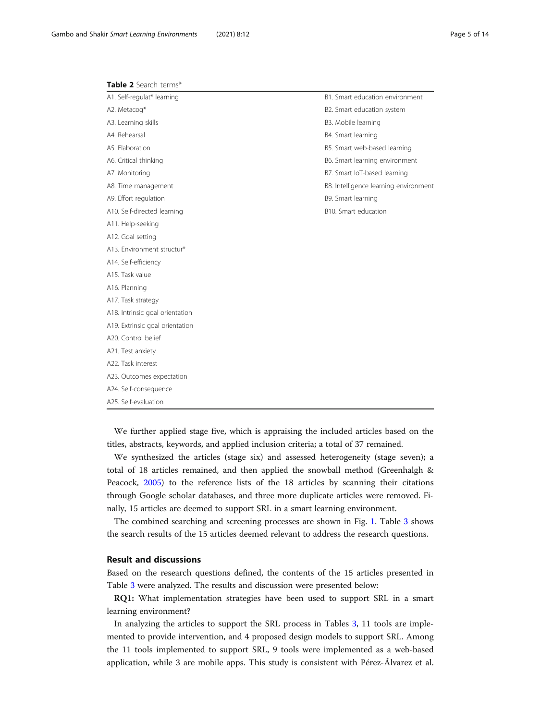<span id="page-4-0"></span>

| Table 2 Search terms* |  |  |
|-----------------------|--|--|
|-----------------------|--|--|

| A1. Self-regulat* learning      | B1. Smart education environment       |
|---------------------------------|---------------------------------------|
| A2. Metacog*                    | B2. Smart education system            |
| A3. Learning skills             | B3. Mobile learning                   |
| A4. Rehearsal                   | B4. Smart learning                    |
| A5. Elaboration                 | B5. Smart web-based learning          |
| A6. Critical thinking           | B6. Smart learning environment        |
| A7. Monitoring                  | B7. Smart IoT-based learning          |
| A8. Time management             | B8. Intelligence learning environment |
| A9. Effort regulation           | B9. Smart learning                    |
| A10. Self-directed learning     | B10. Smart education                  |
| A11. Help-seeking               |                                       |
| A12. Goal setting               |                                       |
| A13. Environment structur*      |                                       |
| A14. Self-efficiency            |                                       |
| A15. Task value                 |                                       |
| A16. Planning                   |                                       |
| A17. Task strategy              |                                       |
| A18. Intrinsic goal orientation |                                       |
| A19. Extrinsic goal orientation |                                       |
| A20. Control belief             |                                       |
| A21. Test anxiety               |                                       |
| A22. Task interest              |                                       |
| A23. Outcomes expectation       |                                       |
| A24. Self-consequence           |                                       |
| A25. Self-evaluation            |                                       |

We further applied stage five, which is appraising the included articles based on the titles, abstracts, keywords, and applied inclusion criteria; a total of 37 remained.

We synthesized the articles (stage six) and assessed heterogeneity (stage seven); a total of 18 articles remained, and then applied the snowball method (Greenhalgh & Peacock, [2005\)](#page-12-0) to the reference lists of the 18 articles by scanning their citations through Google scholar databases, and three more duplicate articles were removed. Finally, 15 articles are deemed to support SRL in a smart learning environment.

The combined searching and screening processes are shown in Fig. [1.](#page-5-0) Table [3](#page-6-0) shows the search results of the 15 articles deemed relevant to address the research questions.

#### Result and discussions

Based on the research questions defined, the contents of the 15 articles presented in Table [3](#page-6-0) were analyzed. The results and discussion were presented below:

RQ1: What implementation strategies have been used to support SRL in a smart learning environment?

In analyzing the articles to support the SRL process in Tables [3,](#page-6-0) 11 tools are implemented to provide intervention, and 4 proposed design models to support SRL. Among the 11 tools implemented to support SRL, 9 tools were implemented as a web-based application, while 3 are mobile apps. This study is consistent with Pérez-Álvarez et al.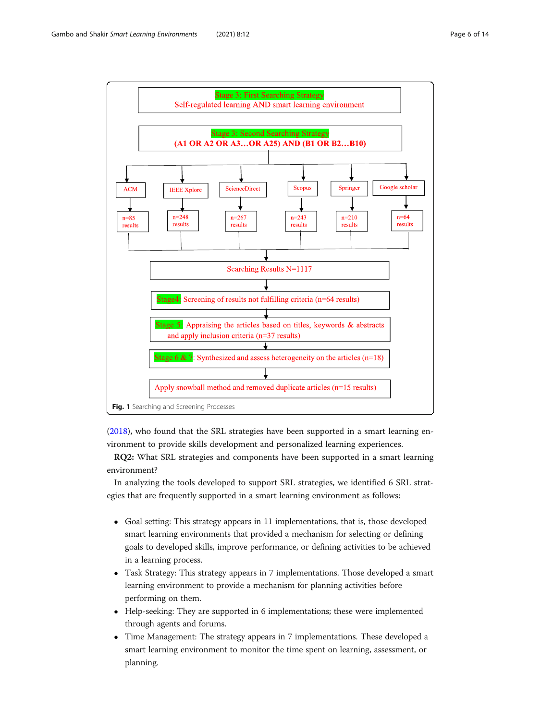<span id="page-5-0"></span>

([2018](#page-12-0)), who found that the SRL strategies have been supported in a smart learning environment to provide skills development and personalized learning experiences.

RQ2: What SRL strategies and components have been supported in a smart learning environment?

In analyzing the tools developed to support SRL strategies, we identified 6 SRL strategies that are frequently supported in a smart learning environment as follows:

- Goal setting: This strategy appears in 11 implementations, that is, those developed smart learning environments that provided a mechanism for selecting or defining goals to developed skills, improve performance, or defining activities to be achieved in a learning process.
- Task Strategy: This strategy appears in 7 implementations. Those developed a smart learning environment to provide a mechanism for planning activities before performing on them.
- Help-seeking: They are supported in 6 implementations; these were implemented through agents and forums.
- Time Management: The strategy appears in 7 implementations. These developed a smart learning environment to monitor the time spent on learning, assessment, or planning.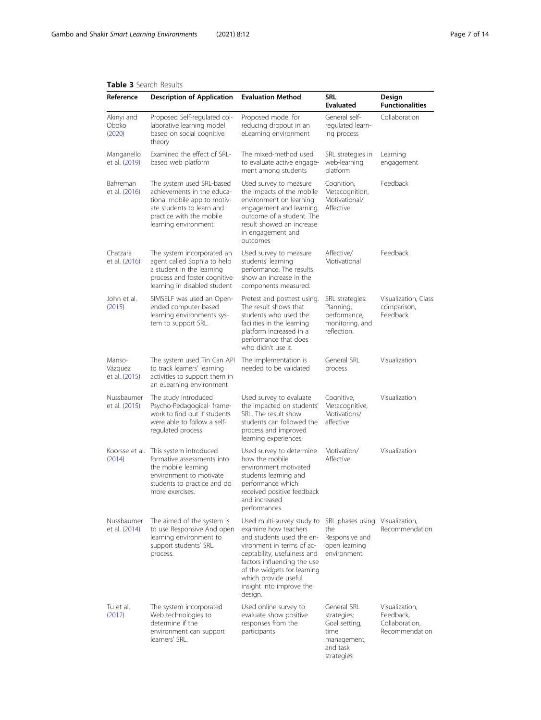#### Reference Description of Application Evaluation Method SRL Evaluated Design Functionalities Akinyi and Oboko ([2020\)](#page-11-0) Proposed Self-regulated collaborative learning model based on social cognitive theory Proposed model for reducing dropout in an eLearning environment General selfregulated learning process Collaboration Manganello et al. [\(2019\)](#page-12-0) Examined the effect of SRLbased web platform The mixed-method used to evaluate active engagement among students SRL strategies in web-learning platform Learning engagement Bahreman et al. [\(2016\)](#page-11-0) The system used SRL-based achievements in the educational mobile app to motivate students to learn and practice with the mobile learning environment. Used survey to measure the impacts of the mobile environment on learning engagement and learning outcome of a student. The result showed an increase in engagement and outcomes Cognition, Metacognition, Motivational/ Affective Feedback Chatzara et al. [\(2016\)](#page-12-0) The system incorporated an agent called Sophia to help a student in the learning process and foster cognitive learning in disabled student Used survey to measure students' learning performance. The results show an increase in the components measured. Affective/ Motivational Feedback John et al. ([2015\)](#page-12-0) SIMSELF was used an Openended computer-based learning environments system to support SRL. Pretest and posttest using. The result shows that students who used the facilities in the learning platform increased in a performance that does who didn't use it. SRL strategies: Planning, performance, monitoring, and reflection. Visualization, Class comparison, Feedback Manso-Vázquez et al. [\(2015\)](#page-12-0) The system used Tin Can API to track learners' learning activities to support them in an eLearning environment The implementation is needed to be validated General SRL process Visualization Nussbaumer et al. [\(2015\)](#page-12-0) The study introduced Psycho-Pedagogical- framework to find out if students were able to follow a selfregulated process Used survey to evaluate the impacted on students' SRL. The result show students can followed the process and improved learning experiences Cognitive, Metacognitive, Motivations/ affective Visualization Koorsse et al. ([2014\)](#page-12-0) This system introduced formative assessments into the mobile learning environment to motivate students to practice and do more exercises. Used survey to determine how the mobile environment motivated students learning and performance which received positive feedback and increased performances Motivation/ Affective Visualization Nussbaumer et al. [\(2014\)](#page-12-0) The aimed of the system is to use Responsive And open learning environment to support students' SRL process. Used multi-survey study to SRL phases using examine how teachers and students used the environment in terms of acceptability, usefulness and factors influencing the use of the widgets for learning which provide useful insight into improve the design. the Responsive and open learning environment Visualization, Recommendation Tu et al. ([2012\)](#page-13-0) The system incorporated Web technologies to determine if the environment can support learners' SRL. Used online survey to evaluate show positive responses from the participants General SRL strategies: Goal setting, time management, and task strategies Visualization, Feedback, Collaboration, Recommendation

#### <span id="page-6-0"></span>Table 3 Search Results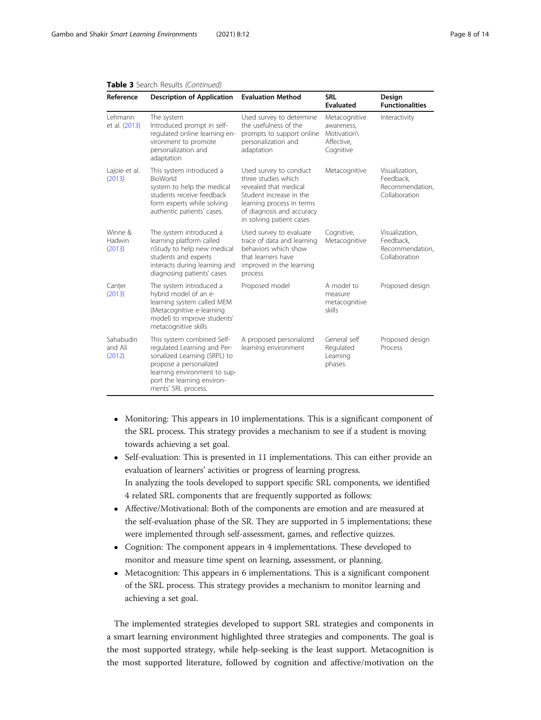| Reference                      | <b>Description of Application</b>                                                                                                                                                                        | <b>Evaluation Method</b>                                                                                                                                                                | <b>SRL</b><br><b>Evaluated</b>                                        | Design<br><b>Functionalities</b>                                |
|--------------------------------|----------------------------------------------------------------------------------------------------------------------------------------------------------------------------------------------------------|-----------------------------------------------------------------------------------------------------------------------------------------------------------------------------------------|-----------------------------------------------------------------------|-----------------------------------------------------------------|
| Lehmann<br>et al. (2013)       | The system<br>Introduced prompt in self-<br>regulated online learning en-<br>vironment to promote<br>personalization and<br>adaptation                                                                   | Used survey to determine<br>the usefulness of the<br>prompts to support online<br>personalization and<br>adaptation                                                                     | Metacognitive<br>awareness,<br>Motivation\<br>Affective,<br>Cognitive | Interactivity                                                   |
| Lajoie et al.<br>(2013)        | This system introduced a<br>BioWorld<br>system to help the medical<br>students receive feedback<br>form experts while solving<br>authentic patients' cases.                                              | Used survey to conduct<br>three studies which<br>revealed that medical<br>Student increase in the<br>learning process in terms<br>of diagnosis and accuracy<br>in solving patient cases | Metacognitive                                                         | Visualization,<br>Feedback.<br>Recommendation,<br>Collaboration |
| Winne &<br>Hadwin<br>(2013)    | The system introduced a<br>learning platform called<br>nStudy to help new medical<br>students and experts<br>interacts during learning and<br>diagnosing patients' cases                                 | Used survey to evaluate<br>trace of data and learning<br>behaviors which show<br>that learners have<br>improved in the learning<br>process                                              | Cognitive,<br>Metacognitive                                           | Visualization,<br>Feedback,<br>Recommendation.<br>Collaboration |
| Canter<br>(2013)               | The system introduced a<br>hybrid model of an e-<br>learning system called MEM<br>(Metacognitive e-learning<br>model) to improve students'<br>metacognitive skills                                       | Proposed model                                                                                                                                                                          | A model to<br>measure<br>metacognitive<br>skills                      | Proposed design                                                 |
| Sahabudin<br>and Ali<br>(2012) | This system combined Self-<br>regulated Learning and Per-<br>sonalized Learning (SRPL) to<br>propose a personalized<br>learning environment to sup-<br>port the learning environ-<br>ments' SRL process. | A proposed personalized<br>learning environment                                                                                                                                         | General self<br>Regulated<br>Learning<br>phases.                      | Proposed design<br>Process                                      |

#### Table 3 Search Results (Continued)

- Monitoring: This appears in 10 implementations. This is a significant component of the SRL process. This strategy provides a mechanism to see if a student is moving towards achieving a set goal.
- Self-evaluation: This is presented in 11 implementations. This can either provide an evaluation of learners' activities or progress of learning progress. In analyzing the tools developed to support specific SRL components, we identified 4 related SRL components that are frequently supported as follows:
- Affective/Motivational: Both of the components are emotion and are measured at the self-evaluation phase of the SR. They are supported in 5 implementations; these were implemented through self-assessment, games, and reflective quizzes.
- Cognition: The component appears in 4 implementations. These developed to monitor and measure time spent on learning, assessment, or planning.
- Metacognition: This appears in 6 implementations. This is a significant component of the SRL process. This strategy provides a mechanism to monitor learning and achieving a set goal.

The implemented strategies developed to support SRL strategies and components in a smart learning environment highlighted three strategies and components. The goal is the most supported strategy, while help-seeking is the least support. Metacognition is the most supported literature, followed by cognition and affective/motivation on the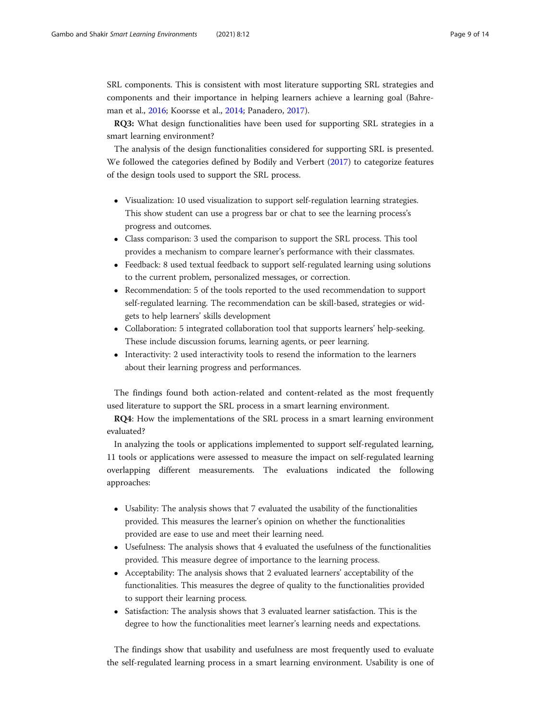SRL components. This is consistent with most literature supporting SRL strategies and components and their importance in helping learners achieve a learning goal (Bahreman et al., [2016;](#page-11-0) Koorsse et al., [2014;](#page-12-0) Panadero, [2017\)](#page-12-0).

RQ3: What design functionalities have been used for supporting SRL strategies in a smart learning environment?

The analysis of the design functionalities considered for supporting SRL is presented. We followed the categories defined by Bodily and Verbert ([2017](#page-11-0)) to categorize features of the design tools used to support the SRL process.

- Visualization: 10 used visualization to support self-regulation learning strategies. This show student can use a progress bar or chat to see the learning process's progress and outcomes.
- Class comparison: 3 used the comparison to support the SRL process. This tool provides a mechanism to compare learner's performance with their classmates.
- Feedback: 8 used textual feedback to support self-regulated learning using solutions to the current problem, personalized messages, or correction.
- Recommendation: 5 of the tools reported to the used recommendation to support self-regulated learning. The recommendation can be skill-based, strategies or widgets to help learners' skills development
- Collaboration: 5 integrated collaboration tool that supports learners' help-seeking. These include discussion forums, learning agents, or peer learning.
- Interactivity: 2 used interactivity tools to resend the information to the learners about their learning progress and performances.

The findings found both action-related and content-related as the most frequently used literature to support the SRL process in a smart learning environment.

RQ4: How the implementations of the SRL process in a smart learning environment evaluated?

In analyzing the tools or applications implemented to support self-regulated learning, 11 tools or applications were assessed to measure the impact on self-regulated learning overlapping different measurements. The evaluations indicated the following approaches:

- Usability: The analysis shows that 7 evaluated the usability of the functionalities provided. This measures the learner's opinion on whether the functionalities provided are ease to use and meet their learning need.
- Usefulness: The analysis shows that 4 evaluated the usefulness of the functionalities provided. This measure degree of importance to the learning process.
- Acceptability: The analysis shows that 2 evaluated learners' acceptability of the functionalities. This measures the degree of quality to the functionalities provided to support their learning process.
- Satisfaction: The analysis shows that 3 evaluated learner satisfaction. This is the degree to how the functionalities meet learner's learning needs and expectations.

The findings show that usability and usefulness are most frequently used to evaluate the self-regulated learning process in a smart learning environment. Usability is one of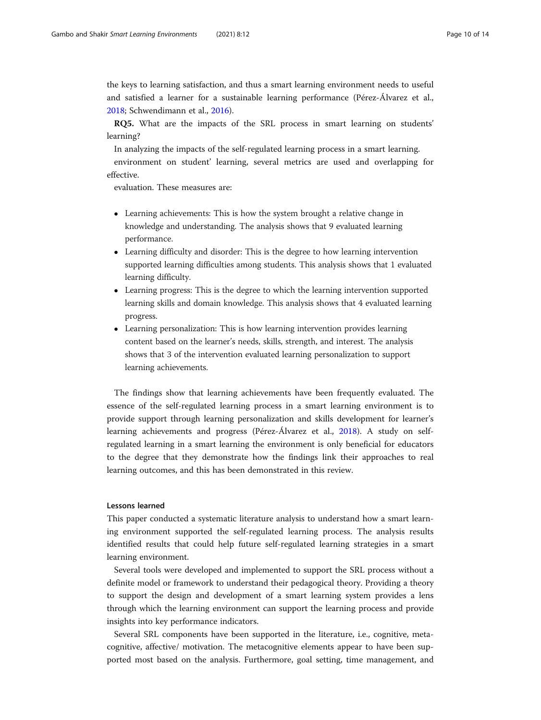the keys to learning satisfaction, and thus a smart learning environment needs to useful and satisfied a learner for a sustainable learning performance (Pérez-Álvarez et al., [2018](#page-12-0); Schwendimann et al., [2016](#page-12-0)).

RQ5. What are the impacts of the SRL process in smart learning on students' learning?

In analyzing the impacts of the self-regulated learning process in a smart learning. environment on student' learning, several metrics are used and overlapping for effective.

evaluation. These measures are:

- Learning achievements: This is how the system brought a relative change in knowledge and understanding. The analysis shows that 9 evaluated learning performance.
- Learning difficulty and disorder: This is the degree to how learning intervention supported learning difficulties among students. This analysis shows that 1 evaluated learning difficulty.
- Learning progress: This is the degree to which the learning intervention supported learning skills and domain knowledge. This analysis shows that 4 evaluated learning progress.
- Learning personalization: This is how learning intervention provides learning content based on the learner's needs, skills, strength, and interest. The analysis shows that 3 of the intervention evaluated learning personalization to support learning achievements.

The findings show that learning achievements have been frequently evaluated. The essence of the self-regulated learning process in a smart learning environment is to provide support through learning personalization and skills development for learner's learning achievements and progress (Pérez-Álvarez et al., [2018](#page-12-0)). A study on selfregulated learning in a smart learning the environment is only beneficial for educators to the degree that they demonstrate how the findings link their approaches to real learning outcomes, and this has been demonstrated in this review.

#### Lessons learned

This paper conducted a systematic literature analysis to understand how a smart learning environment supported the self-regulated learning process. The analysis results identified results that could help future self-regulated learning strategies in a smart learning environment.

Several tools were developed and implemented to support the SRL process without a definite model or framework to understand their pedagogical theory. Providing a theory to support the design and development of a smart learning system provides a lens through which the learning environment can support the learning process and provide insights into key performance indicators.

Several SRL components have been supported in the literature, i.e., cognitive, metacognitive, affective/ motivation. The metacognitive elements appear to have been supported most based on the analysis. Furthermore, goal setting, time management, and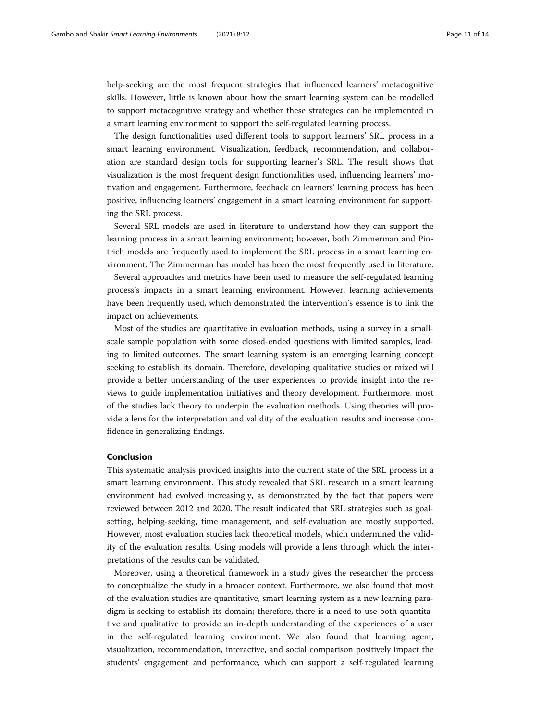help-seeking are the most frequent strategies that influenced learners' metacognitive skills. However, little is known about how the smart learning system can be modelled to support metacognitive strategy and whether these strategies can be implemented in a smart learning environment to support the self-regulated learning process.

The design functionalities used different tools to support learners' SRL process in a smart learning environment. Visualization, feedback, recommendation, and collaboration are standard design tools for supporting learner's SRL. The result shows that visualization is the most frequent design functionalities used, influencing learners' motivation and engagement. Furthermore, feedback on learners' learning process has been positive, influencing learners' engagement in a smart learning environment for supporting the SRL process.

Several SRL models are used in literature to understand how they can support the learning process in a smart learning environment; however, both Zimmerman and Pintrich models are frequently used to implement the SRL process in a smart learning environment. The Zimmerman has model has been the most frequently used in literature.

Several approaches and metrics have been used to measure the self-regulated learning process's impacts in a smart learning environment. However, learning achievements have been frequently used, which demonstrated the intervention's essence is to link the impact on achievements.

Most of the studies are quantitative in evaluation methods, using a survey in a smallscale sample population with some closed-ended questions with limited samples, leading to limited outcomes. The smart learning system is an emerging learning concept seeking to establish its domain. Therefore, developing qualitative studies or mixed will provide a better understanding of the user experiences to provide insight into the reviews to guide implementation initiatives and theory development. Furthermore, most of the studies lack theory to underpin the evaluation methods. Using theories will provide a lens for the interpretation and validity of the evaluation results and increase confidence in generalizing findings.

#### Conclusion

This systematic analysis provided insights into the current state of the SRL process in a smart learning environment. This study revealed that SRL research in a smart learning environment had evolved increasingly, as demonstrated by the fact that papers were reviewed between 2012 and 2020. The result indicated that SRL strategies such as goalsetting, helping-seeking, time management, and self-evaluation are mostly supported. However, most evaluation studies lack theoretical models, which undermined the validity of the evaluation results. Using models will provide a lens through which the interpretations of the results can be validated.

Moreover, using a theoretical framework in a study gives the researcher the process to conceptualize the study in a broader context. Furthermore, we also found that most of the evaluation studies are quantitative, smart learning system as a new learning paradigm is seeking to establish its domain; therefore, there is a need to use both quantitative and qualitative to provide an in-depth understanding of the experiences of a user in the self-regulated learning environment. We also found that learning agent, visualization, recommendation, interactive, and social comparison positively impact the students' engagement and performance, which can support a self-regulated learning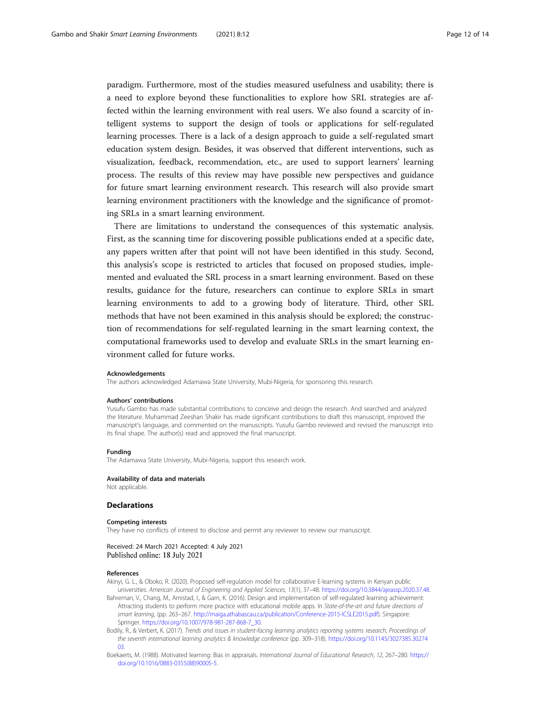<span id="page-11-0"></span>paradigm. Furthermore, most of the studies measured usefulness and usability; there is a need to explore beyond these functionalities to explore how SRL strategies are affected within the learning environment with real users. We also found a scarcity of intelligent systems to support the design of tools or applications for self-regulated learning processes. There is a lack of a design approach to guide a self-regulated smart education system design. Besides, it was observed that different interventions, such as visualization, feedback, recommendation, etc., are used to support learners' learning process. The results of this review may have possible new perspectives and guidance for future smart learning environment research. This research will also provide smart learning environment practitioners with the knowledge and the significance of promoting SRLs in a smart learning environment.

There are limitations to understand the consequences of this systematic analysis. First, as the scanning time for discovering possible publications ended at a specific date, any papers written after that point will not have been identified in this study. Second, this analysis's scope is restricted to articles that focused on proposed studies, implemented and evaluated the SRL process in a smart learning environment. Based on these results, guidance for the future, researchers can continue to explore SRLs in smart learning environments to add to a growing body of literature. Third, other SRL methods that have not been examined in this analysis should be explored; the construction of recommendations for self-regulated learning in the smart learning context, the computational frameworks used to develop and evaluate SRLs in the smart learning environment called for future works.

#### Acknowledgements

The authors acknowledged Adamawa State University, Mubi-Nigeria, for sponsoring this research.

#### Authors' contributions

Yusufu Gambo has made substantial contributions to conceive and design the research. And searched and analyzed the literature. Muhammad Zeeshan Shakir has made significant contributions to draft this manuscript, improved the manuscript's language, and commented on the manuscripts. Yusufu Gambo reviewed and revised the manuscript into its final shape. The author(s) read and approved the final manuscript.

#### Funding

The Adamawa State University, Mubi-Nigeria, support this research work.

#### Availability of data and materials

Not applicable.

#### Declarations

#### Competing interests

They have no conflicts of interest to disclose and permit any reviewer to review our manuscript.

#### Received: 24 March 2021 Accepted: 4 July 2021 Published online: 18 July 2021

#### References

Akinyi, G. L., & Oboko, R. (2020). Proposed self-regulation model for collaborative E-learning systems in Kenyan public

- universities. American Journal of Engineering and Applied Sciences, 13(1), 37–48. [https://doi.org/10.3844/ajeassp.2020.37.48.](https://doi.org/10.3844/ajeassp.2020.37.48) Bahreman, V., Chang, M., Amistad, I., & Garn, K. (2016). Design and implementation of self-regulated learning achievement: Attracting students to perform more practice with educational mobile apps. In State-of-the-art and future directions of smart learning, (pp. 263–267. <http://maiga.athabascau.ca/publication/Conference-2015-ICSLE2015.pdf>). Singapore:
- Springer. [https://doi.org/10.1007/978-981-287-868-7\\_30](https://doi.org/10.1007/978-981-287-868-7_30).
- Bodily, R., & Verbert, K. (2017). Trends and issues in student-facing learning analytics reporting systems research, Proceedings of the seventh international learning analytics & knowledge conference (pp. 309–318). [https://doi.org/10.1145/3027385.30274](https://doi.org/10.1145/3027385.3027403) [03](https://doi.org/10.1145/3027385.3027403).
- Boekaerts, M. (1988). Motivated learning: Bias in appraisals. International Journal of Educational Research, 12, 267–280. [https://](https://doi.org/10.1016/0883-0355(88)90005-5) [doi.org/10.1016/0883-0355\(88\)90005-5.](https://doi.org/10.1016/0883-0355(88)90005-5)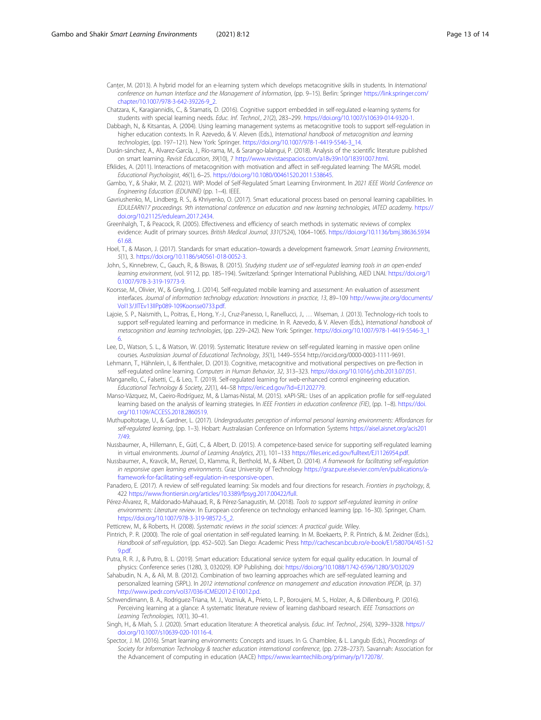- <span id="page-12-0"></span>Canter, M. (2013). A hybrid model for an e-learning system which develops metacognitive skills in students. In International conference on human Interface and the Management of Information, (pp. 9–15). Berlin: Springer [https://link.springer.com/](https://link.springer.com/chapter/10.1007/978-3-642-39226-9_2) chanter/10.1007/978-3-642-39226-9\_2.
- Chatzara, K., Karagiannidis, C., & Stamatis, D. (2016). Cognitive support embedded in self-regulated e-learning systems for students with special learning needs. Educ. Inf. Technol., 21(2), 283–299. [https://doi.org/10.1007/s10639-014-9320-1.](https://doi.org/10.1007/s10639-014-9320-1)
- Dabbagh, N., & Kitsantas, A. (2004). Using learning management systems as metacognitive tools to support self-regulation in higher education contexts. In R. Azevedo, & V. Aleven (Eds.), International handbook of metacognition and learning technologies, (pp. 197–121). New York: Springer. [https://doi.org/10.1007/978-1-4419-5546-3\\_14.](https://doi.org/10.1007/978-1-4419-5546-3_14)
- Durán-sánchez, A., Alvarez-García, J., Río-rama, M., & Sarango-lalangui, P. (2018). Analysis of the scientific literature published on smart learning. Revisit Education, 39(10), 7 [http://www.revistaespacios.com/a18v39n10/18391007.html.](http://www.revistaespacios.com/a18v39n10/18391007.html)
- Efklides, A. (2011). Interactions of metacognition with motivation and affect in self-regulated learning: The MASRL model. Educational Psychologist, 46(1), 6–25. [https://doi.org/10.1080/00461520.2011.538645.](https://doi.org/10.1080/00461520.2011.538645)
- Gambo, Y., & Shakir, M. Z. (2021). WIP: Model of Self-Regulated Smart Learning Environment. In 2021 IEEE World Conference on Engineering Education (EDUNINE) (pp. 1–4). IEEE.
- Gavriushenko, M., Lindberg, R. S., & Khriyenko, O. (2017). Smart educational process based on personal learning capabilities. In EDULEARN17 proceedings. 9th international conference on education and new learning technologies, IATED academy. [https://](https://doi.org/10.21125/edulearn.2017.2434) [doi.org/10.21125/edulearn.2017.2434](https://doi.org/10.21125/edulearn.2017.2434).
- Greenhalgh, T., & Peacock, R. (2005). Effectiveness and efficiency of search methods in systematic reviews of complex evidence: Audit of primary sources. British Medical Journal, 331(7524), 1064–1065. [https://doi.org/10.1136/bmj.38636.5934](https://doi.org/10.1136/bmj.38636.593461.68) [61.68](https://doi.org/10.1136/bmj.38636.593461.68).
- Hoel, T., & Mason, J. (2017). Standards for smart education-towards a development framework. Smart Learning Environments, 5(1), 3. <https://doi.org/10.1186/s40561-018-0052-3>.
- John, S., Kinnebrew, C., Gauch, R., & Biswas, B. (2015). Studying student use of self-regulated learning tools in an open-ended learning environment, (vol. 9112, pp. 185–194). Switzerland: Springer International Publishing, AIED LNAI. [https://doi.org/1](https://doi.org/10.1007/978-3-319-19773-9) [0.1007/978-3-319-19773-9](https://doi.org/10.1007/978-3-319-19773-9).
- Koorsse, M., Olivier, W., & Greyling, J. (2014). Self-regulated mobile learning and assessment: An evaluation of assessment interfaces. Journal of information technology education: Innovations in practice, 13, 89–109 [http://www.jite.org/documents/](http://www.jite.org/documents/Vol13/JITEv13IIPp089-109Koorsse0733.pdf) [Vol13/JITEv13IIPp089-109Koorsse0733.pdf](http://www.jite.org/documents/Vol13/JITEv13IIPp089-109Koorsse0733.pdf).
- Lajoie, S. P., Naismith, L., Poitras, E., Hong, Y.-J., Cruz-Panesso, I., Ranellucci, J., ... Wiseman, J. (2013). Technology-rich tools to support self-regulated learning and performance in medicine. In R. Azevedo, & V. Aleven (Eds.), International handbook of metacognition and learning technologies, (pp. 229–242). New York: Springer. [https://doi.org/10.1007/978-1-4419-5546-3\\_1](https://doi.org/10.1007/978-1-4419-5546-3_16) [6](https://doi.org/10.1007/978-1-4419-5546-3_16).
- Lee, D., Watson, S. L., & Watson, W. (2019). Systematic literature review on self-regulated learning in massive open online courses. Australasian Journal of Educational Technology, 35(1), 1449–5554 http://orcid.org/0000-0003-1111-9691.
- Lehmann, T., Hähnlein, I., & Ifenthaler, D. (2013). Cognitive, metacognitive and motivational perspectives on pre-flection in self-regulated online learning. Computers in Human Behavior, 32, 313–323. <https://doi.org/10.1016/j.chb.2013.07.051>.
- Manganello, C., Falsetti, C., & Leo, T. (2019). Self-regulated learning for web-enhanced control engineering education. Educational Technology & Society, 22(1), 44–58 <https://eric.ed.gov/?id=EJ1202779>.
- Manso-Vázquez, M., Caeiro-Rodríguez, M., & Llamas-Nistal, M. (2015). xAPI-SRL: Uses of an application profile for self-regulated learning based on the analysis of learning strategies. In IEEE Frontiers in education conference (FIE), (pp. 1–8). [https://doi.](https://doi.org/10.1109/ACCESS.2018.2860519) [org/10.1109/ACCESS.2018.2860519.](https://doi.org/10.1109/ACCESS.2018.2860519)
- Muthupoltotage, U., & Gardner, L. (2017). Undergraduates perception of informal personal learning environments: Affordances for self-regulated learning, (pp. 1–3). Hobart: Australasian Conference on Information Systems [https://aisel.aisnet.org/acis201](https://aisel.aisnet.org/acis2017/49) [7/49](https://aisel.aisnet.org/acis2017/49).
- Nussbaumer, A., Hillemann, E., Gütl, C., & Albert, D. (2015). A competence-based service for supporting self-regulated learning in virtual environments. Journal of Learning Analytics, 2(1), 101–133 [https://files.eric.ed.gov/fulltext/EJ1126954.pdf.](https://files.eric.ed.gov/fulltext/EJ1126954.pdf)
- Nussbaumer, A., Kravcik, M., Renzel, D., Klamma, R., Berthold, M., & Albert, D. (2014). A framework for facilitating self-regulation in responsive open learning environments. Graz University of Technology [https://graz.pure.elsevier.com/en/publications/a](https://graz.pure.elsevier.com/en/publications/a-framework-for-facilitating-self-regulation-in-responsive-open)[framework-for-facilitating-self-regulation-in-responsive-open.](https://graz.pure.elsevier.com/en/publications/a-framework-for-facilitating-self-regulation-in-responsive-open)
- Panadero, E. (2017). A review of self-regulated learning: Six models and four directions for research. Frontiers in psychology, 8, 422 <https://www.frontiersin.org/articles/10.3389/fpsyg.2017.00422/full>.
- Pérez-Álvarez, R., Maldonado-Mahauad, R., & Pérez-Sanagustín, M. (2018). Tools to support self-regulated learning in online environments: Literature review. In European conference on technology enhanced learning (pp. 16–30). Springer, Cham. [https://doi.org/10.1007/978-3-319-98572-5\\_2](https://doi.org/10.1007/978-3-319-98572-5_2).
- Petticrew, M., & Roberts, H. (2008). Systematic reviews in the social sciences: A practical guide. Wiley.
- Pintrich, P. R. (2000). The role of goal orientation in self-regulated learning. In M. Boekaerts, P. R. Pintrich, & M. Zeidner (Eds.), Handbook of self-regulation, (pp. 452–502). San Diego: Academic Press [http://cachescan.bcub.ro/e-book/E1/580704/451-52](http://cachescan.bcub.ro/e-book/E1/580704/451-529.pdf) [9.pdf.](http://cachescan.bcub.ro/e-book/E1/580704/451-529.pdf)
- Putra, R. R. J., & Putro, B. L. (2019). Smart education: Educational service system for equal quality education. In Journal of physics: Conference series (1280, 3, 032029). IOP Publishing. doi: <https://doi.org/10.1088/1742-6596/1280/3/032029>
- Sahabudin, N. A., & Ali, M. B. (2012). Combination of two learning approaches which are self-regulated learning and personalized learning (SRPL). In 2012 international conference on management and education innovation IPEDR, (p. 37) [http://www.ipedr.com/vol37/036-ICMEI2012-E10012.pd.](http://www.ipedr.com/vol37/036-ICMEI2012-E10012.pd)
- Schwendimann, B. A., Rodriguez-Triana, M. J., Vozniuk, A., Prieto, L. P., Boroujeni, M. S., Holzer, A., & Dillenbourg, P. (2016). Perceiving learning at a glance: A systematic literature review of learning dashboard research. IEEE Transactions on Learning Technologies, 10(1), 30–41.
- Singh, H., & Miah, S. J. (2020). Smart education literature: A theoretical analysis. Educ. Inf. Technol., 25(4), 3299–3328. [https://](https://doi.org/10.1007/s10639-020-10116-4) [doi.org/10.1007/s10639-020-10116-4.](https://doi.org/10.1007/s10639-020-10116-4)
- Spector, J. M. (2016). Smart learning environments: Concepts and issues. In G. Chamblee, & L. Langub (Eds.), Proceedings of Society for Information Technology & teacher education international conference, (pp. 2728–2737). Savannah: Association for the Advancement of computing in education (AACE) <https://www.learntechlib.org/primary/p/172078/>.